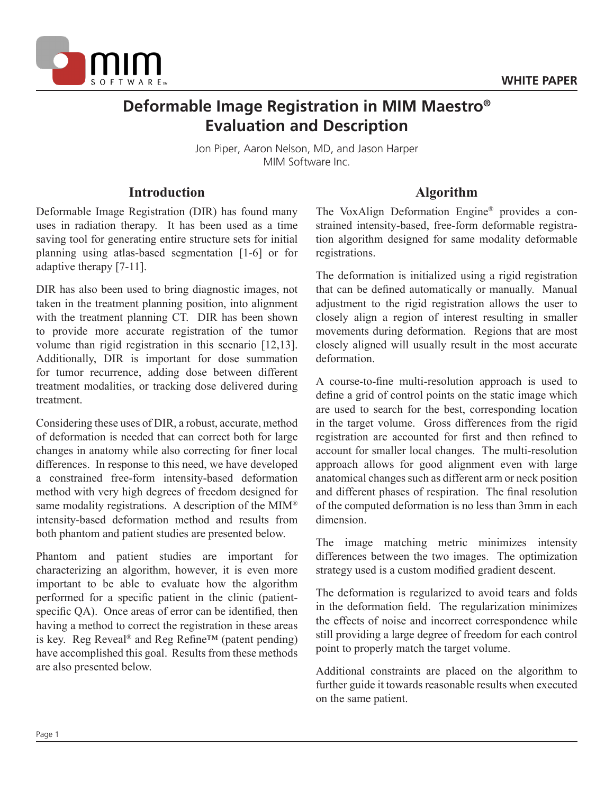

# **Deformable Image Registration in MIM Maestro® Evaluation and Description**

Jon Piper, Aaron Nelson, MD, and Jason Harper MIM Software Inc.

### **Introduction**

Deformable Image Registration (DIR) has found many uses in radiation therapy. It has been used as a time saving tool for generating entire structure sets for initial planning using atlas-based segmentation [1-6] or for adaptive therapy [7-11].

DIR has also been used to bring diagnostic images, not taken in the treatment planning position, into alignment with the treatment planning CT. DIR has been shown to provide more accurate registration of the tumor volume than rigid registration in this scenario [12,13]. Additionally, DIR is important for dose summation for tumor recurrence, adding dose between different treatment modalities, or tracking dose delivered during treatment.

Considering these uses of DIR, a robust, accurate, method of deformation is needed that can correct both for large changes in anatomy while also correcting for finer local differences. In response to this need, we have developed a constrained free-form intensity-based deformation method with very high degrees of freedom designed for same modality registrations. A description of the MIM<sup>®</sup> intensity-based deformation method and results from both phantom and patient studies are presented below.

Phantom and patient studies are important for characterizing an algorithm, however, it is even more important to be able to evaluate how the algorithm performed for a specific patient in the clinic (patientspecific QA). Once areas of error can be identified, then having a method to correct the registration in these areas is key. Reg Reveal® and Reg Refine™ (patent pending) have accomplished this goal. Results from these methods are also presented below.

# **Algorithm**

The VoxAlign Deformation Engine® provides a constrained intensity-based, free-form deformable registration algorithm designed for same modality deformable registrations.

The deformation is initialized using a rigid registration that can be defined automatically or manually. Manual adjustment to the rigid registration allows the user to closely align a region of interest resulting in smaller movements during deformation. Regions that are most closely aligned will usually result in the most accurate deformation.

A course-to-fine multi-resolution approach is used to define a grid of control points on the static image which are used to search for the best, corresponding location in the target volume. Gross differences from the rigid registration are accounted for first and then refined to account for smaller local changes. The multi-resolution approach allows for good alignment even with large anatomical changes such as different arm or neck position and different phases of respiration. The final resolution of the computed deformation is no less than 3mm in each dimension.

The image matching metric minimizes intensity differences between the two images. The optimization strategy used is a custom modified gradient descent.

The deformation is regularized to avoid tears and folds in the deformation field. The regularization minimizes the effects of noise and incorrect correspondence while still providing a large degree of freedom for each control point to properly match the target volume.

Additional constraints are placed on the algorithm to further guide it towards reasonable results when executed on the same patient.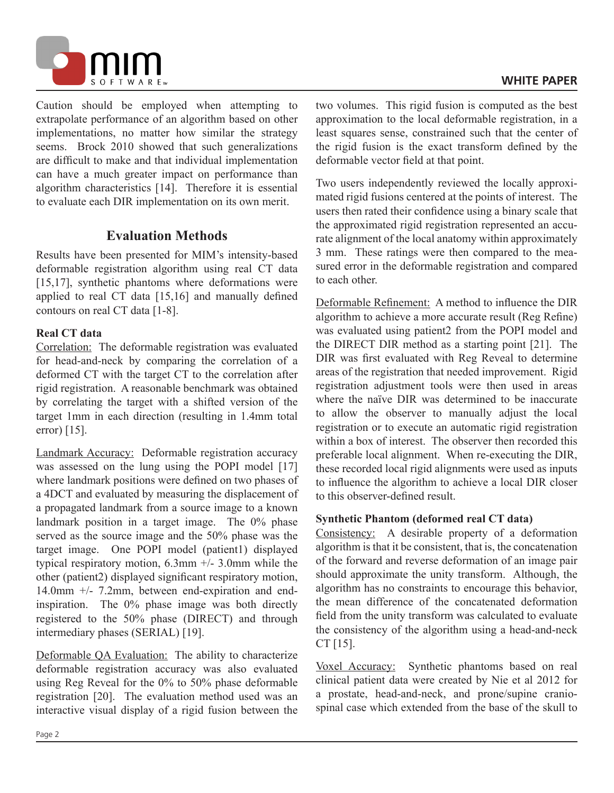

Caution should be employed when attempting to extrapolate performance of an algorithm based on other implementations, no matter how similar the strategy seems. Brock 2010 showed that such generalizations are difficult to make and that individual implementation can have a much greater impact on performance than algorithm characteristics [14]. Therefore it is essential to evaluate each DIR implementation on its own merit.

# **Evaluation Methods**

Results have been presented for MIM's intensity-based deformable registration algorithm using real CT data [15,17], synthetic phantoms where deformations were applied to real CT data [15,16] and manually defined contours on real CT data [1-8].

#### **Real CT data**

Correlation: The deformable registration was evaluated for head-and-neck by comparing the correlation of a deformed CT with the target CT to the correlation after rigid registration. A reasonable benchmark was obtained by correlating the target with a shifted version of the target 1mm in each direction (resulting in 1.4mm total error) [15].

Landmark Accuracy: Deformable registration accuracy was assessed on the lung using the POPI model [17] where landmark positions were defined on two phases of a 4DCT and evaluated by measuring the displacement of a propagated landmark from a source image to a known landmark position in a target image. The 0% phase served as the source image and the 50% phase was the target image. One POPI model (patient1) displayed typical respiratory motion,  $6.3$ mm  $+/- 3.0$ mm while the other (patient2) displayed significant respiratory motion, 14.0mm +/- 7.2mm, between end-expiration and endinspiration. The 0% phase image was both directly registered to the 50% phase (DIRECT) and through intermediary phases (SERIAL) [19].

Deformable QA Evaluation: The ability to characterize deformable registration accuracy was also evaluated using Reg Reveal for the 0% to 50% phase deformable registration [20]. The evaluation method used was an interactive visual display of a rigid fusion between the

two volumes. This rigid fusion is computed as the best approximation to the local deformable registration, in a least squares sense, constrained such that the center of the rigid fusion is the exact transform defined by the deformable vector field at that point.

Two users independently reviewed the locally approximated rigid fusions centered at the points of interest. The users then rated their confidence using a binary scale that the approximated rigid registration represented an accurate alignment of the local anatomy within approximately 3 mm. These ratings were then compared to the measured error in the deformable registration and compared to each other.

Deformable Refinement: A method to influence the DIR algorithm to achieve a more accurate result (Reg Refine) was evaluated using patient2 from the POPI model and the DIRECT DIR method as a starting point [21]. The DIR was first evaluated with Reg Reveal to determine areas of the registration that needed improvement. Rigid registration adjustment tools were then used in areas where the naïve DIR was determined to be inaccurate to allow the observer to manually adjust the local registration or to execute an automatic rigid registration within a box of interest. The observer then recorded this preferable local alignment. When re-executing the DIR, these recorded local rigid alignments were used as inputs to influence the algorithm to achieve a local DIR closer to this observer-defined result.

#### **Synthetic Phantom (deformed real CT data)**

Consistency: A desirable property of a deformation algorithm is that it be consistent, that is, the concatenation of the forward and reverse deformation of an image pair should approximate the unity transform. Although, the algorithm has no constraints to encourage this behavior, the mean difference of the concatenated deformation field from the unity transform was calculated to evaluate the consistency of the algorithm using a head-and-neck CT [15].

Voxel Accuracy: Synthetic phantoms based on real clinical patient data were created by Nie et al 2012 for a prostate, head-and-neck, and prone/supine craniospinal case which extended from the base of the skull to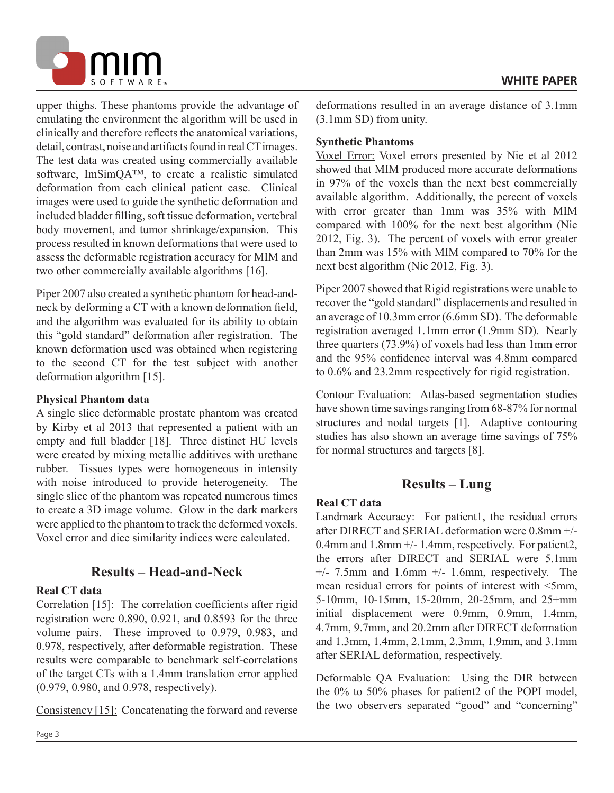

upper thighs. These phantoms provide the advantage of emulating the environment the algorithm will be used in clinically and therefore reflects the anatomical variations, detail, contrast, noise and artifacts found in real CT images. The test data was created using commercially available software, ImSimQA™, to create a realistic simulated deformation from each clinical patient case. Clinical images were used to guide the synthetic deformation and included bladder filling, soft tissue deformation, vertebral body movement, and tumor shrinkage/expansion. This process resulted in known deformations that were used to assess the deformable registration accuracy for MIM and two other commercially available algorithms [16].

Piper 2007 also created a synthetic phantom for head-andneck by deforming a CT with a known deformation field, and the algorithm was evaluated for its ability to obtain this "gold standard" deformation after registration. The known deformation used was obtained when registering to the second CT for the test subject with another deformation algorithm [15].

### **Physical Phantom data**

A single slice deformable prostate phantom was created by Kirby et al 2013 that represented a patient with an empty and full bladder [18]. Three distinct HU levels were created by mixing metallic additives with urethane rubber. Tissues types were homogeneous in intensity with noise introduced to provide heterogeneity. The single slice of the phantom was repeated numerous times to create a 3D image volume. Glow in the dark markers were applied to the phantom to track the deformed voxels. Voxel error and dice similarity indices were calculated.

# **Results – Head-and-Neck**

### **Real CT data**

Correlation [15]: The correlation coefficients after rigid registration were 0.890, 0.921, and 0.8593 for the three volume pairs. These improved to 0.979, 0.983, and 0.978, respectively, after deformable registration. These results were comparable to benchmark self-correlations of the target CTs with a 1.4mm translation error applied (0.979, 0.980, and 0.978, respectively).

Consistency [15]: Concatenating the forward and reverse

deformations resulted in an average distance of 3.1mm (3.1mm SD) from unity.

### **Synthetic Phantoms**

Voxel Error: Voxel errors presented by Nie et al 2012 showed that MIM produced more accurate deformations in 97% of the voxels than the next best commercially available algorithm. Additionally, the percent of voxels with error greater than 1mm was 35% with MIM compared with 100% for the next best algorithm (Nie 2012, Fig. 3). The percent of voxels with error greater than 2mm was 15% with MIM compared to 70% for the next best algorithm (Nie 2012, Fig. 3).

Piper 2007 showed that Rigid registrations were unable to recover the "gold standard" displacements and resulted in an average of 10.3mm error (6.6mm SD). The deformable registration averaged 1.1mm error (1.9mm SD). Nearly three quarters (73.9%) of voxels had less than 1mm error and the 95% confidence interval was 4.8mm compared to 0.6% and 23.2mm respectively for rigid registration.

Contour Evaluation: Atlas-based segmentation studies have shown time savings ranging from 68-87% for normal structures and nodal targets [1]. Adaptive contouring studies has also shown an average time savings of 75% for normal structures and targets [8].

# **Results – Lung**

### **Real CT data**

Landmark Accuracy: For patient1, the residual errors after DIRECT and SERIAL deformation were 0.8mm +/- 0.4mm and 1.8mm +/- 1.4mm, respectively. For patient2, the errors after DIRECT and SERIAL were 5.1mm  $+/-$  7.5mm and 1.6mm  $+/-$  1.6mm, respectively. The mean residual errors for points of interest with <5mm, 5-10mm, 10-15mm, 15-20mm, 20-25mm, and 25+mm initial displacement were 0.9mm, 0.9mm, 1.4mm, 4.7mm, 9.7mm, and 20.2mm after DIRECT deformation and 1.3mm, 1.4mm, 2.1mm, 2.3mm, 1.9mm, and 3.1mm after SERIAL deformation, respectively.

Deformable QA Evaluation: Using the DIR between the 0% to 50% phases for patient2 of the POPI model, the two observers separated "good" and "concerning"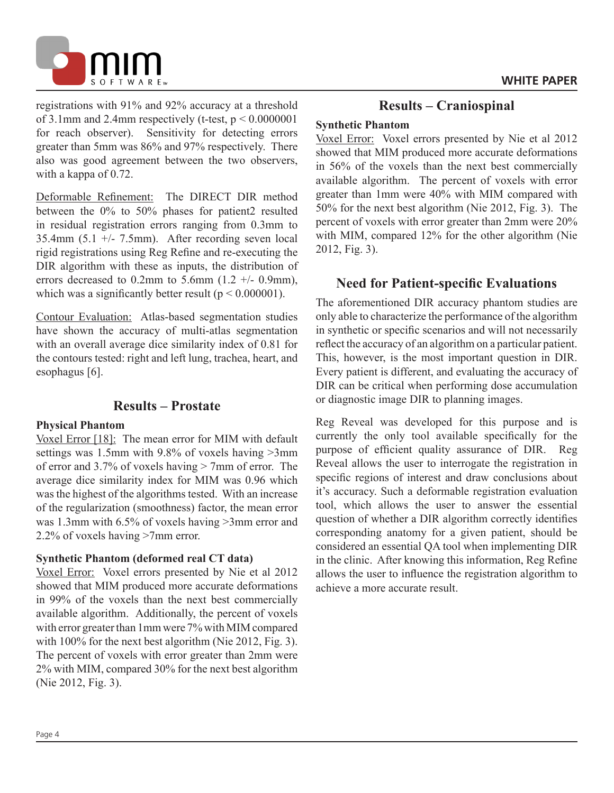

registrations with 91% and 92% accuracy at a threshold of 3.1mm and 2.4mm respectively (t-test,  $p \le 0.0000001$ for reach observer). Sensitivity for detecting errors greater than 5mm was 86% and 97% respectively. There also was good agreement between the two observers, with a kappa of 0.72.

Deformable Refinement: The DIRECT DIR method between the 0% to 50% phases for patient2 resulted in residual registration errors ranging from 0.3mm to 35.4mm  $(5.1 +/- 7.5$ mm). After recording seven local rigid registrations using Reg Refine and re-executing the DIR algorithm with these as inputs, the distribution of errors decreased to  $0.2$ mm to  $5.6$ mm  $(1.2 +/- 0.9$ mm). which was a significantly better result ( $p < 0.000001$ ).

Contour Evaluation: Atlas-based segmentation studies have shown the accuracy of multi-atlas segmentation with an overall average dice similarity index of 0.81 for the contours tested: right and left lung, trachea, heart, and esophagus [6].

### **Results – Prostate**

#### **Physical Phantom**

Voxel Error [18]: The mean error for MIM with default settings was 1.5mm with 9.8% of voxels having >3mm of error and 3.7% of voxels having > 7mm of error. The average dice similarity index for MIM was 0.96 which was the highest of the algorithms tested. With an increase of the regularization (smoothness) factor, the mean error was 1.3mm with 6.5% of voxels having >3mm error and 2.2% of voxels having >7mm error.

#### **Synthetic Phantom (deformed real CT data)**

Voxel Error: Voxel errors presented by Nie et al 2012 showed that MIM produced more accurate deformations in 99% of the voxels than the next best commercially available algorithm. Additionally, the percent of voxels with error greater than 1mm were 7% with MIM compared with 100% for the next best algorithm (Nie 2012, Fig. 3). The percent of voxels with error greater than 2mm were 2% with MIM, compared 30% for the next best algorithm (Nie 2012, Fig. 3).

### **Results – Craniospinal**

#### **Synthetic Phantom**

Voxel Error: Voxel errors presented by Nie et al 2012 showed that MIM produced more accurate deformations in 56% of the voxels than the next best commercially available algorithm. The percent of voxels with error greater than 1mm were 40% with MIM compared with 50% for the next best algorithm (Nie 2012, Fig. 3). The percent of voxels with error greater than 2mm were 20% with MIM, compared 12% for the other algorithm (Nie 2012, Fig. 3).

# **Need for Patient-specific Evaluations**

The aforementioned DIR accuracy phantom studies are only able to characterize the performance of the algorithm in synthetic or specific scenarios and will not necessarily reflect the accuracy of an algorithm on a particular patient. This, however, is the most important question in DIR. Every patient is different, and evaluating the accuracy of DIR can be critical when performing dose accumulation or diagnostic image DIR to planning images.

Reg Reveal was developed for this purpose and is currently the only tool available specifically for the purpose of efficient quality assurance of DIR. Reg Reveal allows the user to interrogate the registration in specific regions of interest and draw conclusions about it's accuracy. Such a deformable registration evaluation tool, which allows the user to answer the essential question of whether a DIR algorithm correctly identifies corresponding anatomy for a given patient, should be considered an essential QA tool when implementing DIR in the clinic. After knowing this information, Reg Refine allows the user to influence the registration algorithm to achieve a more accurate result.